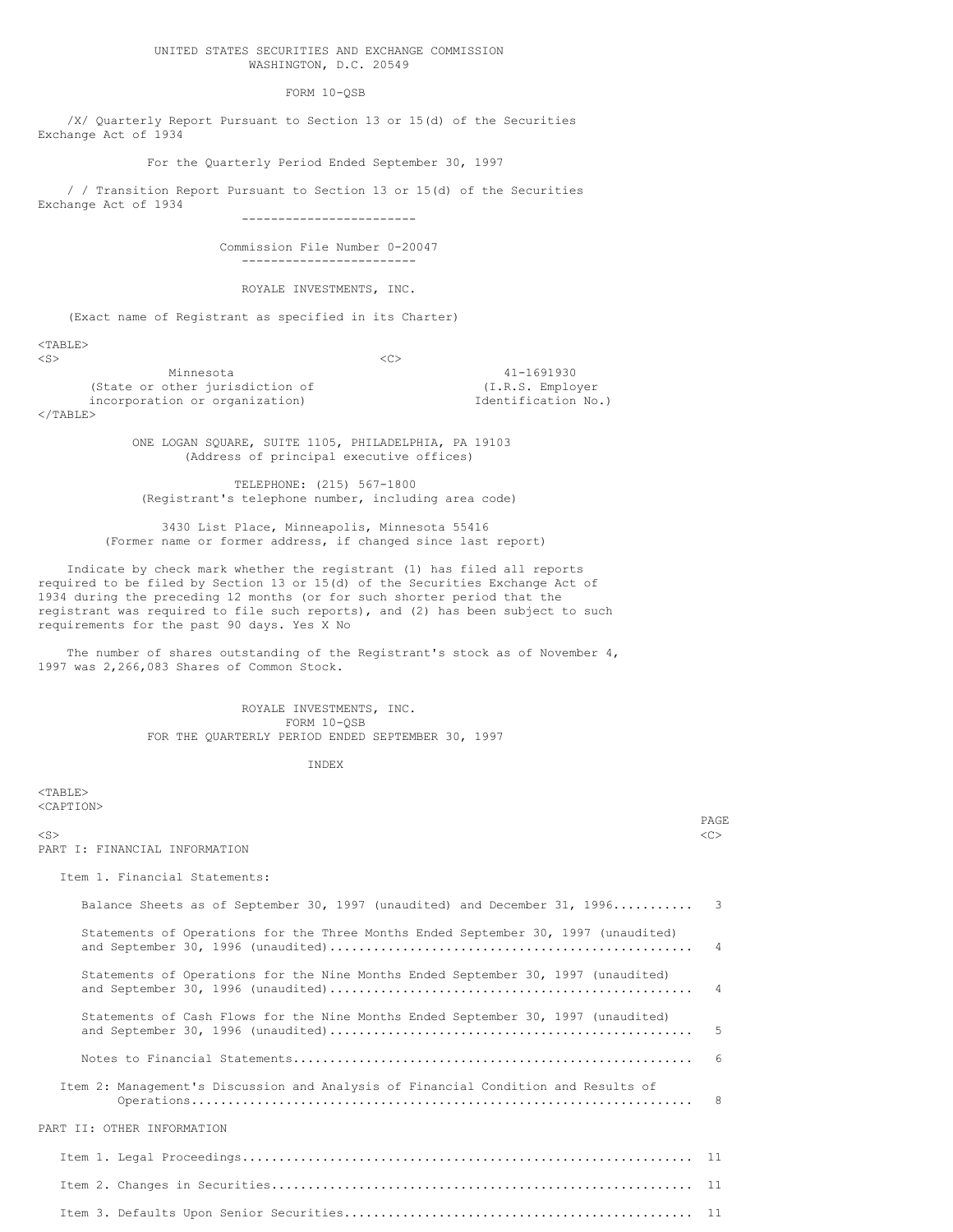#### UNITED STATES SECURITIES AND EXCHANGE COMMISSION WASHINGTON, D.C. 20549

FORM 10-QSB

/X/ Quarterly Report Pursuant to Section 13 or 15(d) of the Securities Exchange Act of 1934

For the Quarterly Period Ended September 30, 1997

/ / Transition Report Pursuant to Section 13 or 15(d) of the Securities Exchange Act of 1934

------------------------

Commission File Number 0-20047 ------------------------

ROYALE INVESTMENTS, INC.

(Exact name of Registrant as specified in its Charter)

<TABLE>  $\langle$ S>  $\langle$ C> Minnesota 41-1691930<br>
other jurisdiction of (I.R.S. Employer (State or other jurisdiction of incorporation or organization) and incorporation No.)  $<$ /TABLE>

ONE LOGAN SQUARE, SUITE 1105, PHILADELPHIA, PA 19103 (Address of principal executive offices)

TELEPHONE: (215) 567-1800 (Registrant's telephone number, including area code)

3430 List Place, Minneapolis, Minnesota 55416 (Former name or former address, if changed since last report)

Indicate by check mark whether the registrant (1) has filed all reports required to be filed by Section 13 or 15(d) of the Securities Exchange Act of 1934 during the preceding 12 months (or for such shorter period that the registrant was required to file such reports), and (2) has been subject to such requirements for the past 90 days. Yes X No

The number of shares outstanding of the Registrant's stock as of November 4, 1997 was 2,266,083 Shares of Common Stock.

> ROYALE INVESTMENTS, INC. FORM 10-QSB FOR THE QUARTERLY PERIOD ENDED SEPTEMBER 30, 1997

> > INDEX

 $<$ TABLE> <CAPTION> PAGE <S> <C> PART I: FINANCIAL INFORMATION Item 1. Financial Statements: Balance Sheets as of September 30, 1997 (unaudited) and December 31, 1996........... 3 Statements of Operations for the Three Months Ended September 30, 1997 (unaudited) and September 30, 1996 (unaudited).................................................. 4 Statements of Operations for the Nine Months Ended September 30, 1997 (unaudited) and September 30, 1996 (unaudited).................................................. 4 Statements of Cash Flows for the Nine Months Ended September 30, 1997 (unaudited) and September 30, 1996 (unaudited).................................................. 5 Notes to Financial Statements....................................................... 6 Item 2: Management's Discussion and Analysis of Financial Condition and Results of Operations..................................................................... 8 PART II: OTHER INFORMATION Item 1. Legal Proceedings.............................................................. 11 Item 2. Changes in Securities.......................................................... 11

Item 3. Defaults Upon Senior Securities................................................ 11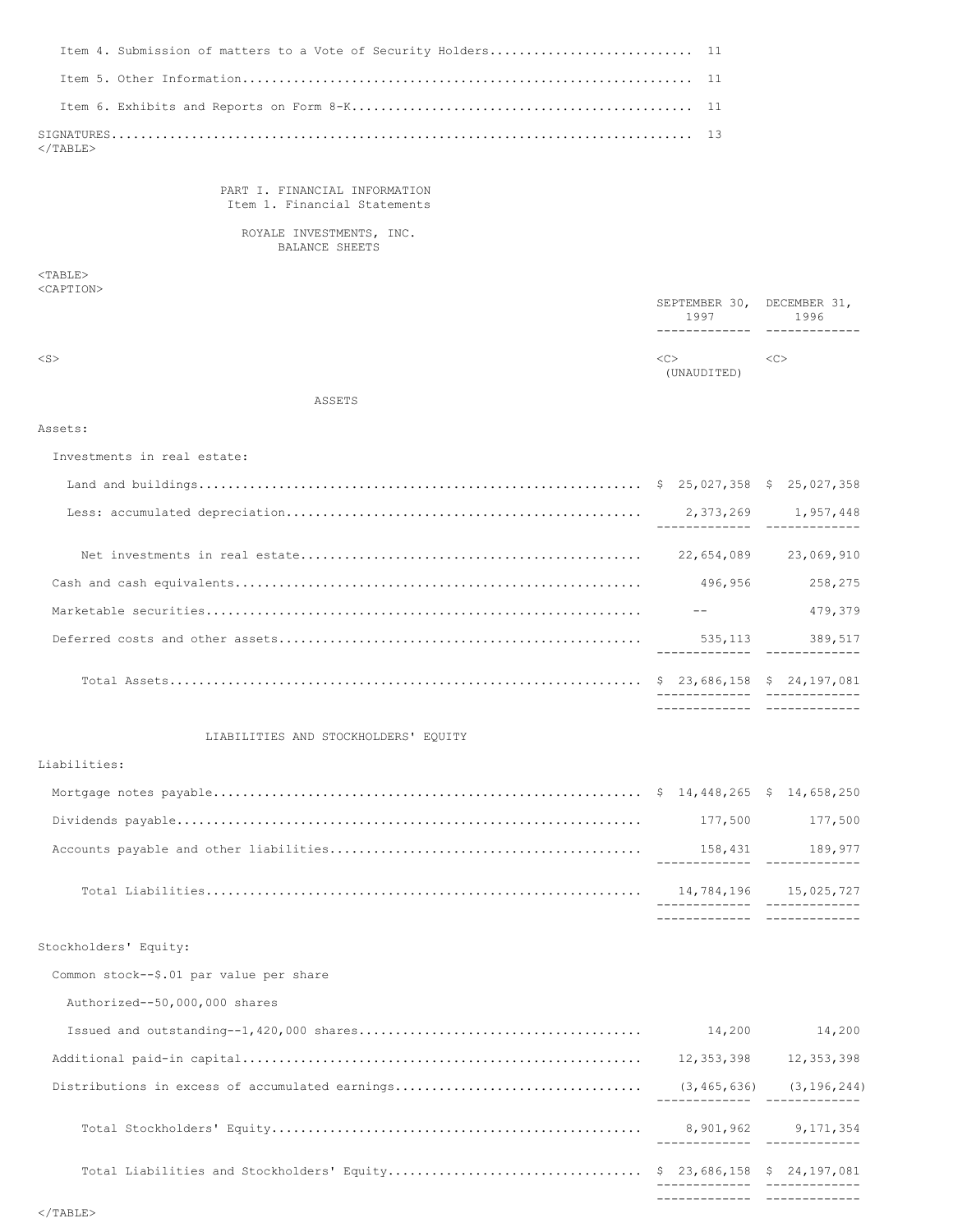| $\langle$ /TABLE> |  |
|-------------------|--|

PART I. FINANCIAL INFORMATION Item 1. Financial Statements

ROYALE INVESTMENTS, INC. BALANCE SHEETS

<TABLE> <CAPTION>

|           | SEPTEMBER 30, DECEMBER 31,<br>1997 | 1996          |
|-----------|------------------------------------|---------------|
|           |                                    |               |
| $<$ S $>$ | <c><br/>(UNAUDITED)</c>            | < <sub></sub> |

ASSETS

### Assets:

Investments in real estate:

|            | 2.373.269 1.957.448<br>-------------- ------------- |
|------------|-----------------------------------------------------|
| 22,654,089 | 23,069,910                                          |
| 496,956    | 258,275                                             |
|            | 479.379                                             |
| 535, 113   | 389,517                                             |
|            |                                                     |
|            |                                                     |

# LIABILITIES AND STOCKHOLDERS' EQUITY

## Liabilities:

|         | _________________________________ |
|---------|-----------------------------------|
|         | 14,784,196    15,025,727          |
| 158,431 | 189,977                           |
|         | 177.500 177.500                   |
|         |                                   |

Stockholders' Equity:

Common stock--\$.01 par value per share

Authorized--50,000,000 shares

|                                                 |                               | ------------- --------------    |
|-------------------------------------------------|-------------------------------|---------------------------------|
|                                                 |                               | ----------- -------------       |
|                                                 | ----------------------------- | 8,901,962 9,171,354             |
| Distributions in excess of accumulated earnings |                               | $(3, 465, 636)$ $(3, 196, 244)$ |
|                                                 | 12,353,398                    | 12,353,398                      |
|                                                 | 14,200                        | 14,200                          |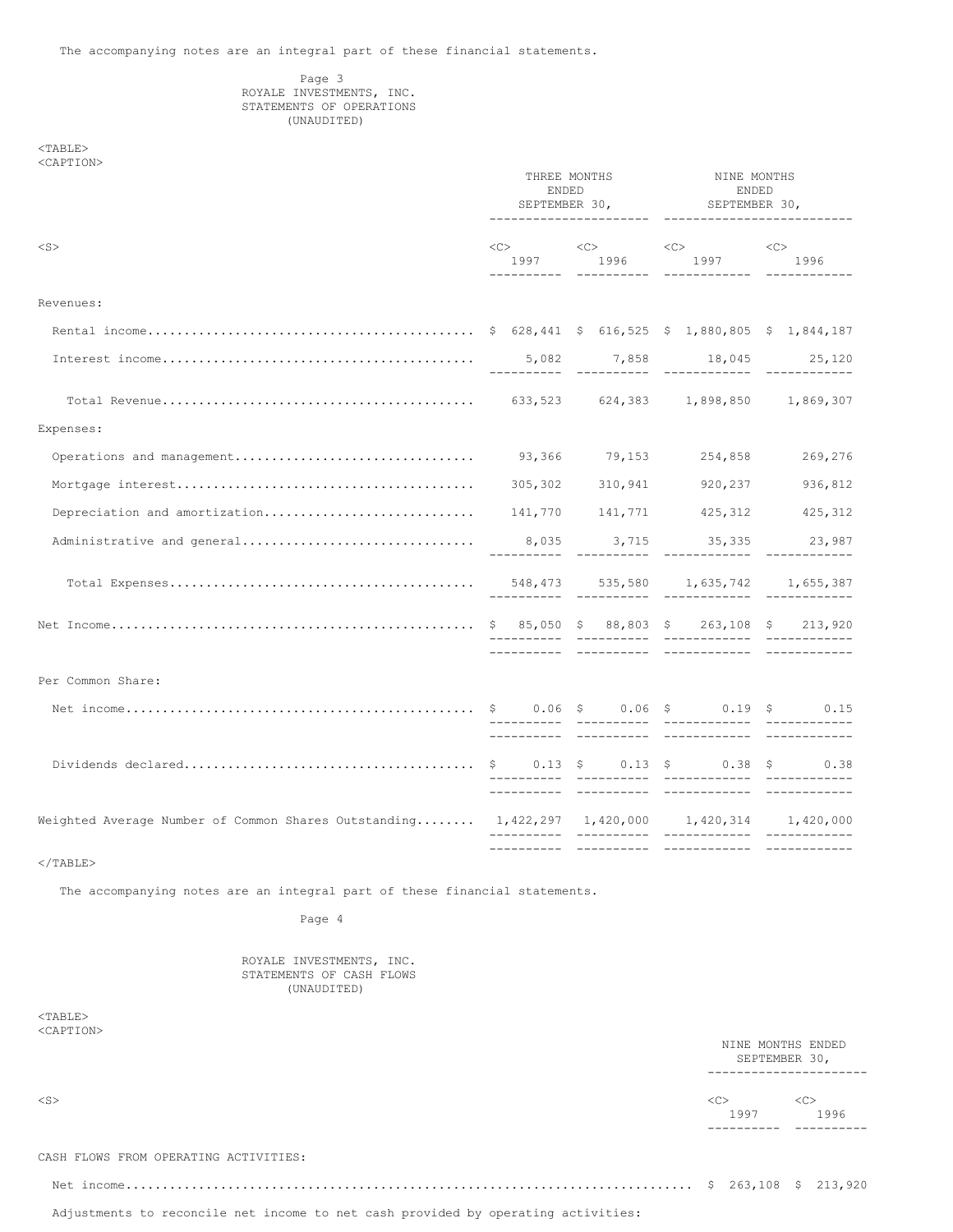# Page 3 ROYALE INVESTMENTS, INC. STATEMENTS OF OPERATIONS (UNAUDITED)

# <TABLE> <CAPTION>

|                                                                                                      | THREE MONTHS<br>ENDED<br>SEPTEMBER 30,<br>---------------------- |  | NINE MONTHS<br><b>ENDED</b><br>SEPTEMBER 30,<br>-------------------------- |                                                                                                            |         |
|------------------------------------------------------------------------------------------------------|------------------------------------------------------------------|--|----------------------------------------------------------------------------|------------------------------------------------------------------------------------------------------------|---------|
| $<$ S $>$                                                                                            |                                                                  |  |                                                                            | $\text{}\qquad \qquad \text{}\qquad \qquad \text{}\qquad \qquad \text{}\qquad \qquad \text{}\qquad \qquad$ |         |
| Revenues:                                                                                            |                                                                  |  |                                                                            |                                                                                                            |         |
|                                                                                                      |                                                                  |  |                                                                            |                                                                                                            |         |
|                                                                                                      |                                                                  |  |                                                                            |                                                                                                            |         |
|                                                                                                      |                                                                  |  |                                                                            |                                                                                                            |         |
| Expenses:                                                                                            |                                                                  |  |                                                                            |                                                                                                            |         |
| Operations and management                                                                            |                                                                  |  |                                                                            | 93,366 79,153 254,858                                                                                      | 269,276 |
|                                                                                                      |                                                                  |  |                                                                            | 305,302 310,941 920,237                                                                                    | 936,812 |
|                                                                                                      |                                                                  |  |                                                                            |                                                                                                            |         |
|                                                                                                      |                                                                  |  |                                                                            |                                                                                                            |         |
|                                                                                                      |                                                                  |  |                                                                            |                                                                                                            |         |
|                                                                                                      |                                                                  |  |                                                                            |                                                                                                            |         |
|                                                                                                      |                                                                  |  |                                                                            |                                                                                                            |         |
| Per Common Share:                                                                                    |                                                                  |  |                                                                            |                                                                                                            |         |
|                                                                                                      |                                                                  |  |                                                                            |                                                                                                            |         |
|                                                                                                      |                                                                  |  |                                                                            |                                                                                                            |         |
| Weighted Average Number of Common Shares Outstanding $1,422,297$ $1,420,000$ $1,420,314$ $1,420,000$ |                                                                  |  |                                                                            | ____________                                                                                               |         |
| $<$ /TABLE>                                                                                          |                                                                  |  |                                                                            |                                                                                                            |         |

The accompanying notes are an integral part of these financial statements.

Page 4

ROYALE INVESTMENTS, INC. STATEMENTS OF CASH FLOWS (UNAUDITED)

 $<$ TABLE $>$ <CAPTION>

|                                       |     | NINE MONTHS ENDED<br>SEPTEMBER 30, |     |      |
|---------------------------------------|-----|------------------------------------|-----|------|
| $<$ S $>$                             | <<> | 1997                               | <<> | 1996 |
| CASH FLOWS FROM OPERATING ACTIVITIES: |     |                                    |     |      |
|                                       |     |                                    |     |      |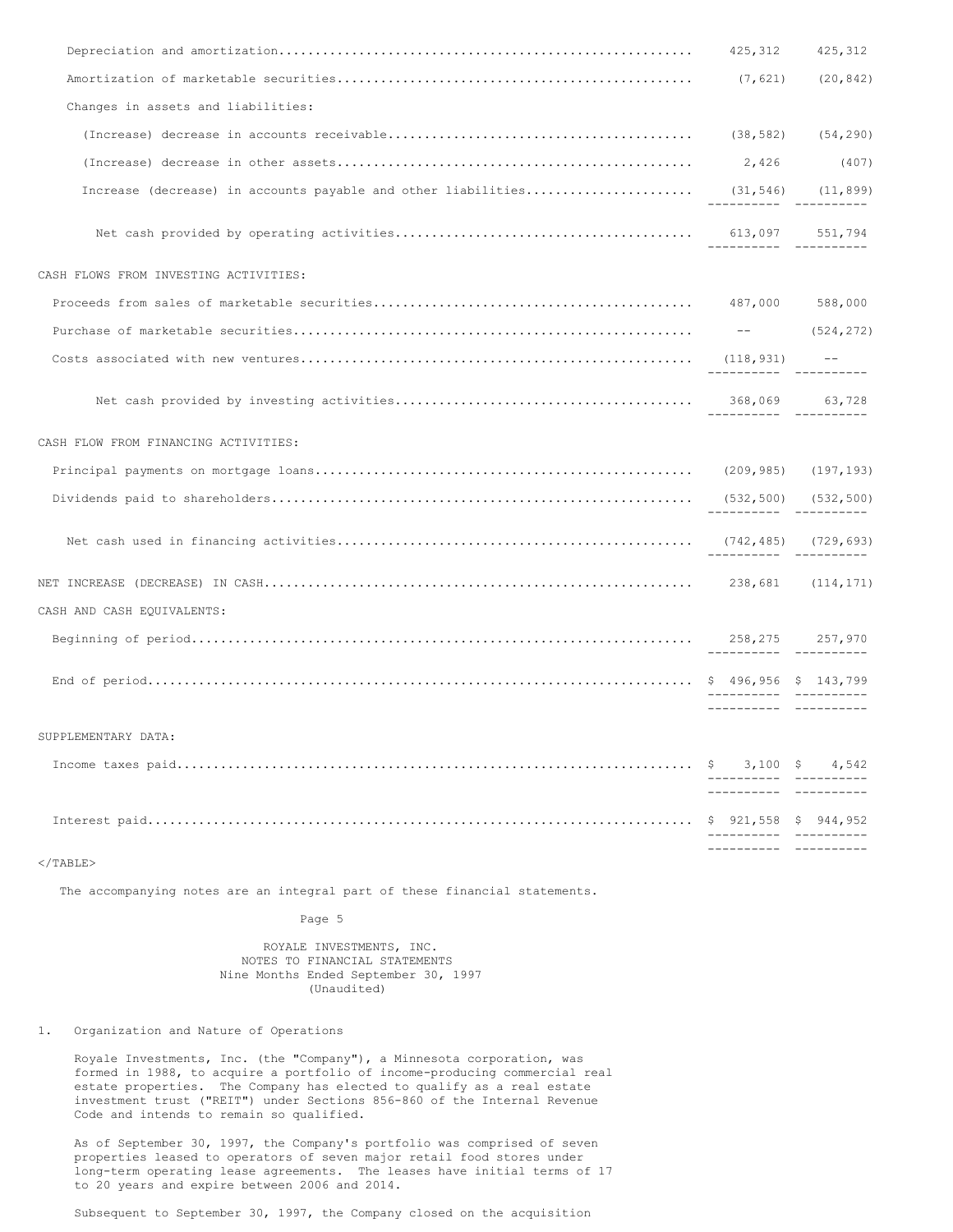|                                                                                 | 425,312                                      | 425,312         |
|---------------------------------------------------------------------------------|----------------------------------------------|-----------------|
|                                                                                 | (7, 621)                                     | (20, 842)       |
| Changes in assets and liabilities:                                              |                                              |                 |
|                                                                                 |                                              |                 |
|                                                                                 | 2,426                                        | (407)           |
| Increase (decrease) in accounts payable and other liabilities (31,546) (11,899) |                                              |                 |
|                                                                                 |                                              |                 |
| CASH FLOWS FROM INVESTING ACTIVITIES:                                           |                                              |                 |
|                                                                                 |                                              |                 |
|                                                                                 |                                              | $---$ (524,272) |
|                                                                                 |                                              |                 |
|                                                                                 |                                              |                 |
| CASH FLOW FROM FINANCING ACTIVITIES:                                            |                                              |                 |
|                                                                                 |                                              |                 |
|                                                                                 |                                              |                 |
|                                                                                 |                                              |                 |
|                                                                                 |                                              |                 |
| CASH AND CASH EQUIVALENTS:                                                      |                                              |                 |
|                                                                                 | $258, 275$ $257, 970$                        |                 |
|                                                                                 | ________________________                     |                 |
| SUPPLEMENTARY DATA:                                                             |                                              |                 |
|                                                                                 | ----------- -------<br>---------- ---------- |                 |
|                                                                                 |                                              |                 |
| $\langle$ /TABLE>                                                               |                                              |                 |

The accompanying notes are an integral part of these financial statements.

Page 5

ROYALE INVESTMENTS, INC. NOTES TO FINANCIAL STATEMENTS Nine Months Ended September 30, 1997 (Unaudited)

1. Organization and Nature of Operations

Royale Investments, Inc. (the "Company"), a Minnesota corporation, was formed in 1988, to acquire a portfolio of income-producing commercial real estate properties. The Company has elected to qualify as a real estate investment trust ("REIT") under Sections 856-860 of the Internal Revenue Code and intends to remain so qualified.

As of September 30, 1997, the Company's portfolio was comprised of seven properties leased to operators of seven major retail food stores under long-term operating lease agreements. The leases have initial terms of 17 to 20 years and expire between 2006 and 2014.

Subsequent to September 30, 1997, the Company closed on the acquisition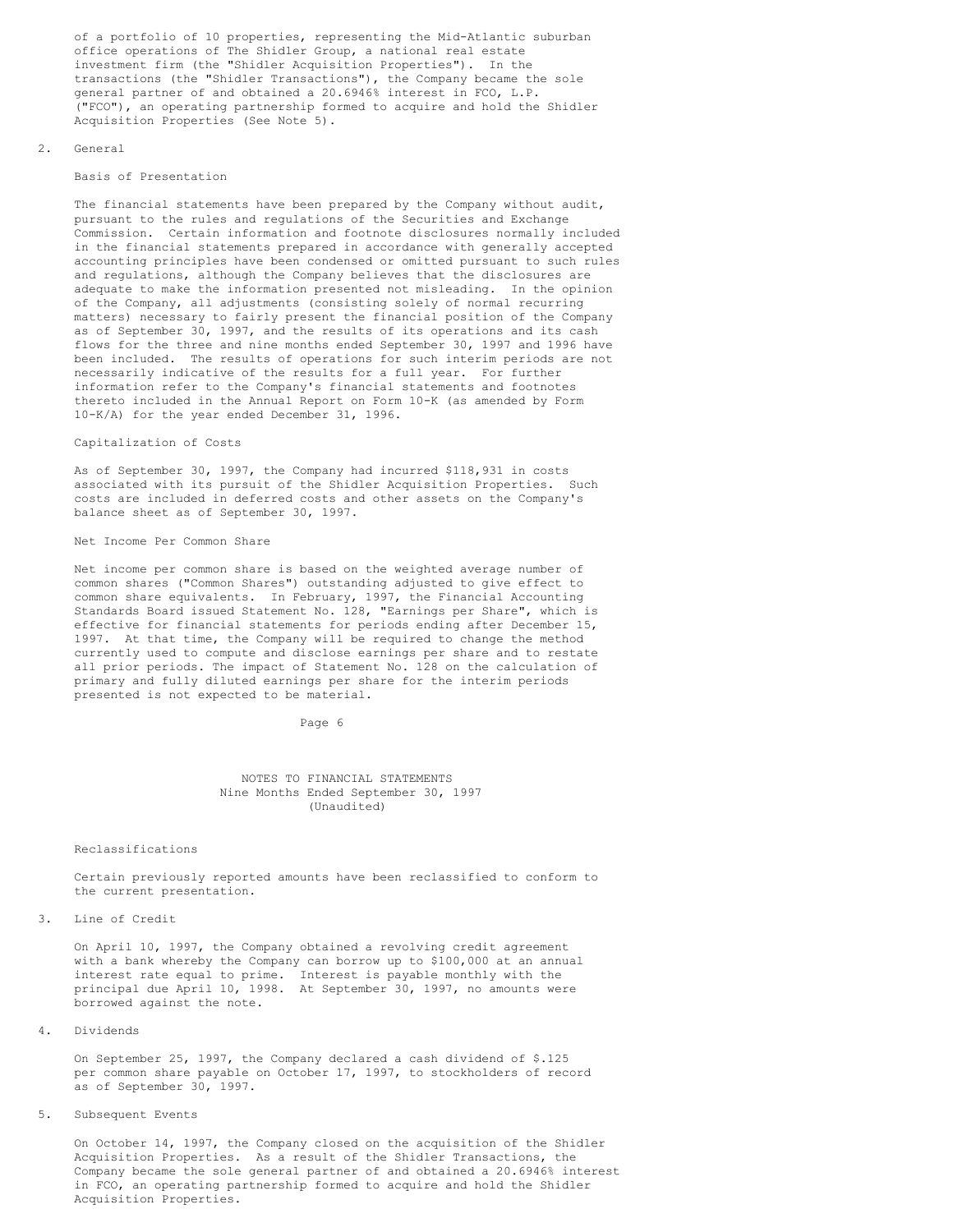of a portfolio of 10 properties, representing the Mid-Atlantic suburban office operations of The Shidler Group, a national real estate investment firm (the "Shidler Acquisition Properties"). In the transactions (the "Shidler Transactions"), the Company became the sole general partner of and obtained a 20.6946% interest in FCO, L.P. ("FCO"), an operating partnership formed to acquire and hold the Shidler Acquisition Properties (See Note 5).

#### 2. General

### Basis of Presentation

The financial statements have been prepared by the Company without audit, pursuant to the rules and regulations of the Securities and Exchange Commission. Certain information and footnote disclosures normally included in the financial statements prepared in accordance with generally accepted accounting principles have been condensed or omitted pursuant to such rules and regulations, although the Company believes that the disclosures are adequate to make the information presented not misleading. In the opinion of the Company, all adjustments (consisting solely of normal recurring matters) necessary to fairly present the financial position of the Company as of September 30, 1997, and the results of its operations and its cash flows for the three and nine months ended September 30, 1997 and 1996 have been included. The results of operations for such interim periods are not necessarily indicative of the results for a full year. For further information refer to the Company's financial statements and footnotes thereto included in the Annual Report on Form 10-K (as amended by Form 10-K/A) for the year ended December 31, 1996.

## Capitalization of Costs

As of September 30, 1997, the Company had incurred \$118,931 in costs associated with its pursuit of the Shidler Acquisition Properties. Such costs are included in deferred costs and other assets on the Company's balance sheet as of September 30, 1997.

#### Net Income Per Common Share

Net income per common share is based on the weighted average number of common shares ("Common Shares") outstanding adjusted to give effect to common share equivalents. In February, 1997, the Financial Accounting Standards Board issued Statement No. 128, "Earnings per Share", which is effective for financial statements for periods ending after December 15, 1997. At that time, the Company will be required to change the method currently used to compute and disclose earnings per share and to restate all prior periods. The impact of Statement No. 128 on the calculation of primary and fully diluted earnings per share for the interim periods presented is not expected to be material.

Page 6

### NOTES TO FINANCIAL STATEMENTS Nine Months Ended September 30, 1997 (Unaudited)

#### Reclassifications

Certain previously reported amounts have been reclassified to conform to the current presentation.

### 3. Line of Credit

On April 10, 1997, the Company obtained a revolving credit agreement with a bank whereby the Company can borrow up to \$100,000 at an annual interest rate equal to prime. Interest is payable monthly with the principal due April 10, 1998. At September 30, 1997, no amounts were borrowed against the note.

### 4. Dividends

On September 25, 1997, the Company declared a cash dividend of \$.125 per common share payable on October 17, 1997, to stockholders of record as of September 30, 1997.

### 5. Subsequent Events

On October 14, 1997, the Company closed on the acquisition of the Shidler Acquisition Properties. As a result of the Shidler Transactions, the Company became the sole general partner of and obtained a 20.6946% interest in FCO, an operating partnership formed to acquire and hold the Shidler Acquisition Properties.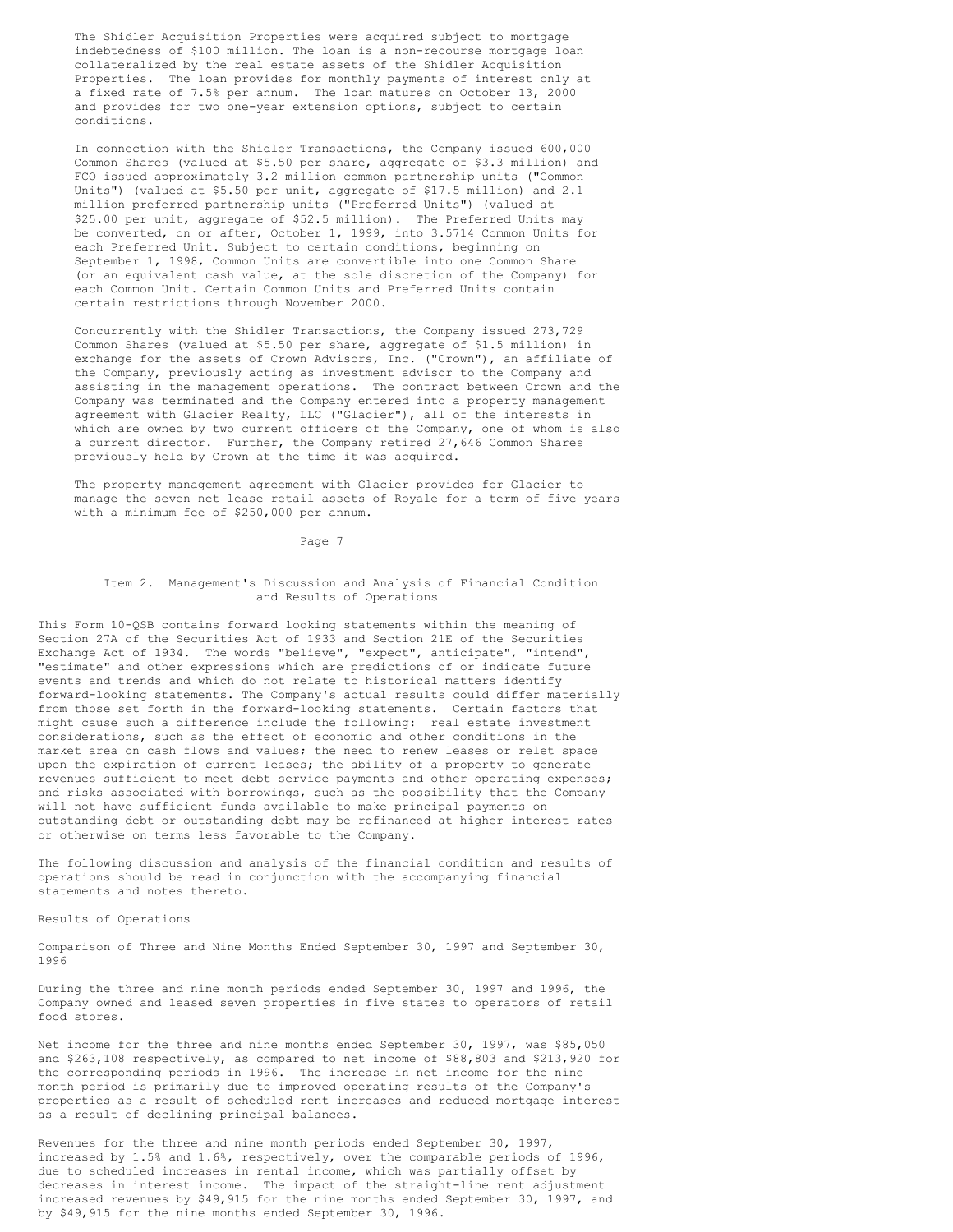The Shidler Acquisition Properties were acquired subject to mortgage indebtedness of \$100 million. The loan is a non-recourse mortgage loan collateralized by the real estate assets of the Shidler Acquisition Properties. The loan provides for monthly payments of interest only at a fixed rate of 7.5% per annum. The loan matures on October 13, 2000 and provides for two one-year extension options, subject to certain conditions.

In connection with the Shidler Transactions, the Company issued 600,000 Common Shares (valued at \$5.50 per share, aggregate of \$3.3 million) and FCO issued approximately 3.2 million common partnership units ("Common Units") (valued at \$5.50 per unit, aggregate of \$17.5 million) and 2.1 million preferred partnership units ("Preferred Units") (valued at \$25.00 per unit, aggregate of \$52.5 million). The Preferred Units may be converted, on or after, October 1, 1999, into 3.5714 Common Units for each Preferred Unit. Subject to certain conditions, beginning on September 1, 1998, Common Units are convertible into one Common Share (or an equivalent cash value, at the sole discretion of the Company) for each Common Unit. Certain Common Units and Preferred Units contain certain restrictions through November 2000.

Concurrently with the Shidler Transactions, the Company issued 273,729 Common Shares (valued at \$5.50 per share, aggregate of \$1.5 million) in exchange for the assets of Crown Advisors, Inc. ("Crown"), an affiliate of the Company, previously acting as investment advisor to the Company and assisting in the management operations. The contract between Crown and the Company was terminated and the Company entered into a property management agreement with Glacier Realty, LLC ("Glacier"), all of the interests in which are owned by two current officers of the Company, one of whom is also a current director. Further, the Company retired 27,646 Common Shares previously held by Crown at the time it was acquired.

The property management agreement with Glacier provides for Glacier to manage the seven net lease retail assets of Royale for a term of five years with a minimum fee of \$250,000 per annum.

Page 7

### Item 2. Management's Discussion and Analysis of Financial Condition and Results of Operations

This Form 10-QSB contains forward looking statements within the meaning of Section 27A of the Securities Act of 1933 and Section 21E of the Securities Exchange Act of 1934. The words "believe", "expect", anticipate", "intend", "estimate" and other expressions which are predictions of or indicate future events and trends and which do not relate to historical matters identify forward-looking statements. The Company's actual results could differ materially from those set forth in the forward-looking statements. Certain factors that might cause such a difference include the following: real estate investment considerations, such as the effect of economic and other conditions in the market area on cash flows and values; the need to renew leases or relet space upon the expiration of current leases; the ability of a property to generate revenues sufficient to meet debt service payments and other operating expenses; and risks associated with borrowings, such as the possibility that the Company will not have sufficient funds available to make principal payments on outstanding debt or outstanding debt may be refinanced at higher interest rates or otherwise on terms less favorable to the Company.

The following discussion and analysis of the financial condition and results of operations should be read in conjunction with the accompanying financial statements and notes thereto.

Results of Operations

Comparison of Three and Nine Months Ended September 30, 1997 and September 30, 1996

During the three and nine month periods ended September 30, 1997 and 1996, the Company owned and leased seven properties in five states to operators of retail food stores.

Net income for the three and nine months ended September 30, 1997, was \$85,050 and \$263,108 respectively, as compared to net income of \$88,803 and \$213,920 for the corresponding periods in 1996. The increase in net income for the nine month period is primarily due to improved operating results of the Company's properties as a result of scheduled rent increases and reduced mortgage interest as a result of declining principal balances.

Revenues for the three and nine month periods ended September 30, 1997, increased by 1.5% and 1.6%, respectively, over the comparable periods of 1996, due to scheduled increases in rental income, which was partially offset by decreases in interest income. The impact of the straight-line rent adjustment increased revenues by \$49,915 for the nine months ended September 30, 1997, and by \$49,915 for the nine months ended September 30, 1996.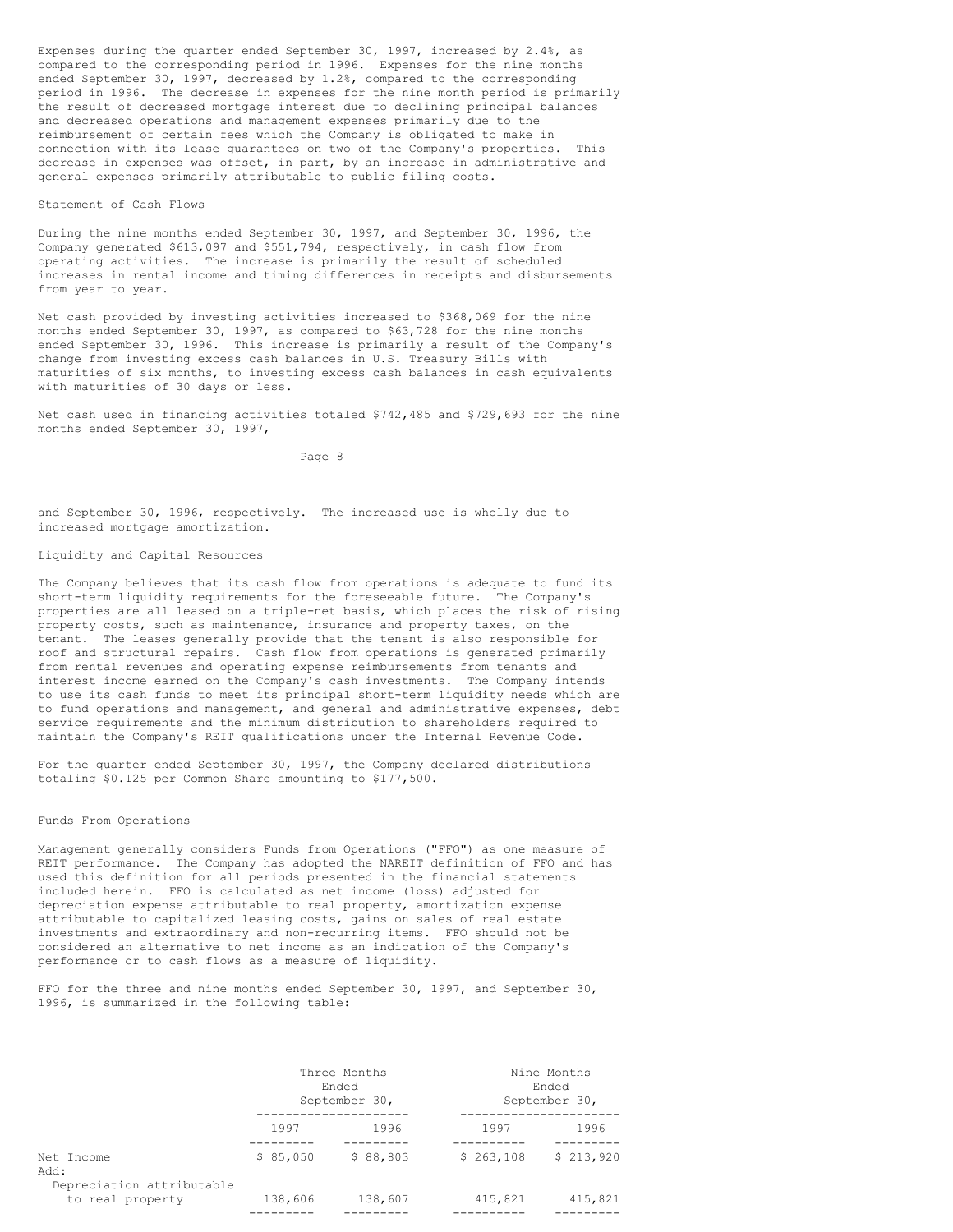Expenses during the quarter ended September 30, 1997, increased by 2.4%, as compared to the corresponding period in 1996. Expenses for the nine months ended September 30, 1997, decreased by 1.2%, compared to the corresponding period in 1996. The decrease in expenses for the nine month period is primarily the result of decreased mortgage interest due to declining principal balances and decreased operations and management expenses primarily due to the reimbursement of certain fees which the Company is obligated to make in connection with its lease guarantees on two of the Company's properties. This decrease in expenses was offset, in part, by an increase in administrative and general expenses primarily attributable to public filing costs.

### Statement of Cash Flows

During the nine months ended September 30, 1997, and September 30, 1996, the Company generated \$613,097 and \$551,794, respectively, in cash flow from operating activities. The increase is primarily the result of scheduled increases in rental income and timing differences in receipts and disbursements from year to year.

Net cash provided by investing activities increased to \$368,069 for the nine months ended September 30, 1997, as compared to \$63,728 for the nine months ended September 30, 1996. This increase is primarily a result of the Company's change from investing excess cash balances in U.S. Treasury Bills with maturities of six months, to investing excess cash balances in cash equivalents with maturities of 30 days or less.

Net cash used in financing activities totaled \$742,485 and \$729,693 for the nine months ended September 30, 1997,

Page 8

and September 30, 1996, respectively. The increased use is wholly due to increased mortgage amortization.

### Liquidity and Capital Resources

The Company believes that its cash flow from operations is adequate to fund its short-term liquidity requirements for the foreseeable future. The Company's properties are all leased on a triple-net basis, which places the risk of rising property costs, such as maintenance, insurance and property taxes, on the tenant. The leases generally provide that the tenant is also responsible for roof and structural repairs. Cash flow from operations is generated primarily from rental revenues and operating expense reimbursements from tenants and interest income earned on the Company's cash investments. The Company intends to use its cash funds to meet its principal short-term liquidity needs which are to fund operations and management, and general and administrative expenses, debt service requirements and the minimum distribution to shareholders required to maintain the Company's REIT qualifications under the Internal Revenue Code.

For the quarter ended September 30, 1997, the Company declared distributions totaling \$0.125 per Common Share amounting to \$177,500.

#### Funds From Operations

Management generally considers Funds from Operations ("FFO") as one measure of REIT performance. The Company has adopted the NAREIT definition of FFO and has used this definition for all periods presented in the financial statements included herein. FFO is calculated as net income (loss) adjusted for depreciation expense attributable to real property, amortization expense attributable to capitalized leasing costs, gains on sales of real estate investments and extraordinary and non-recurring items. FFO should not be considered an alternative to net income as an indication of the Company's performance or to cash flows as a measure of liquidity.

FFO for the three and nine months ended September 30, 1997, and September 30, 1996, is summarized in the following table:

|                                               |          | Three Months<br>Ended<br>September 30, |           | Nine Months<br>Ended<br>September 30, |
|-----------------------------------------------|----------|----------------------------------------|-----------|---------------------------------------|
|                                               | 1997     | 1996                                   | 1997      | 1996                                  |
| Net Income<br>Add:                            | \$85,050 | \$88,803                               | \$263,108 | \$213,920                             |
| Depreciation attributable<br>to real property | 138,606  | 138,607                                | 415,821   | 415,821                               |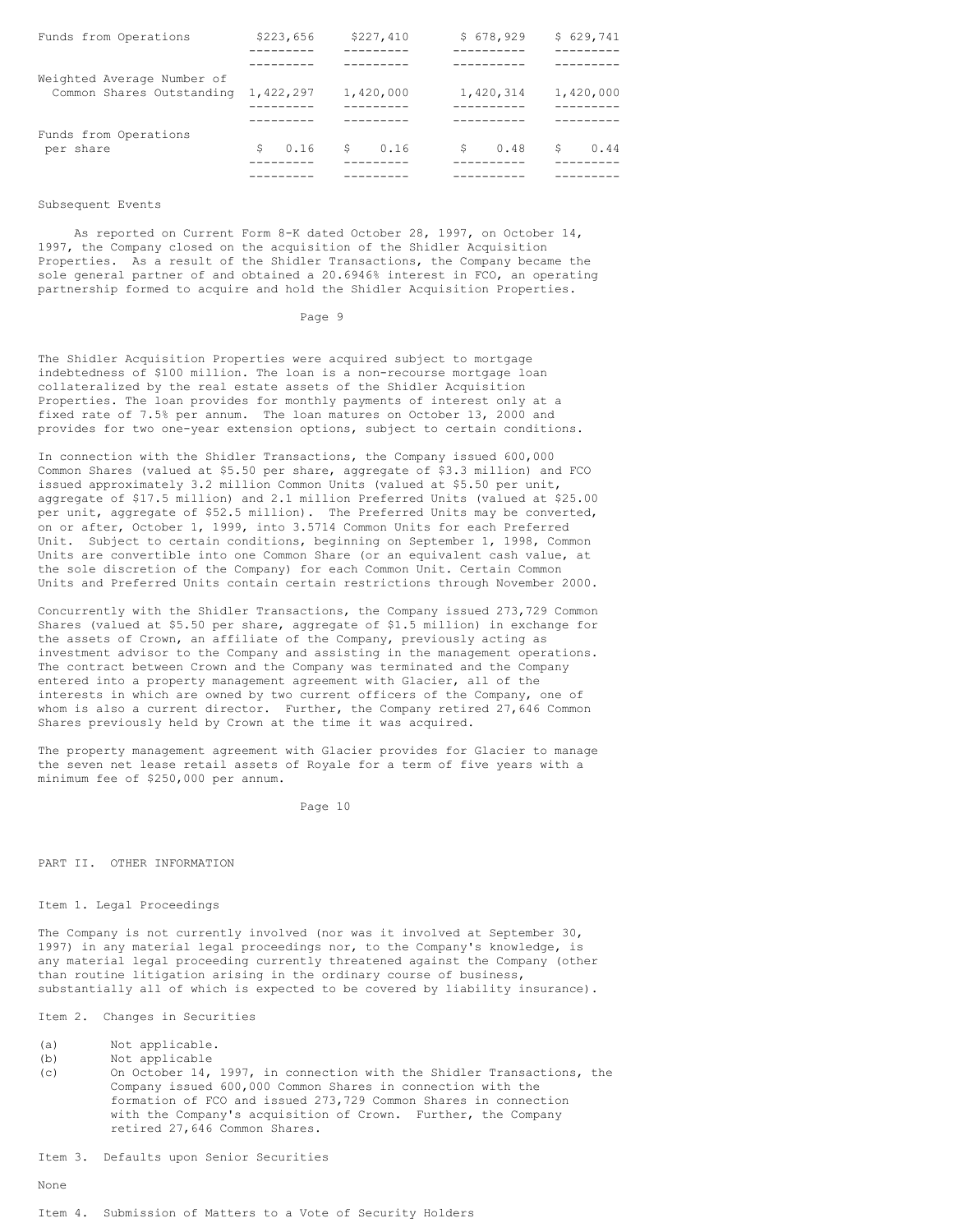| \$223,656  | \$227,410                           | \$678,929  | \$629,741  |
|------------|-------------------------------------|------------|------------|
|            |                                     |            |            |
|            |                                     |            |            |
|            | 1,420,000                           | 1,420,314  | 1,420,000  |
| 0.16<br>Ŝ. |                                     | 0.48<br>Ŝ. | Ŝ.<br>0.44 |
|            | Common Shares Outstanding 1,422,297 | \$0.16     |            |

### Subsequent Events

As reported on Current Form 8-K dated October 28, 1997, on October 14, 1997, the Company closed on the acquisition of the Shidler Acquisition Properties. As a result of the Shidler Transactions, the Company became the sole general partner of and obtained a 20.6946% interest in FCO, an operating partnership formed to acquire and hold the Shidler Acquisition Properties.

### Page 9

The Shidler Acquisition Properties were acquired subject to mortgage indebtedness of \$100 million. The loan is a non-recourse mortgage loan collateralized by the real estate assets of the Shidler Acquisition Properties. The loan provides for monthly payments of interest only at a fixed rate of 7.5% per annum. The loan matures on October 13, 2000 and provides for two one-year extension options, subject to certain conditions.

In connection with the Shidler Transactions, the Company issued 600,000 Common Shares (valued at \$5.50 per share, aggregate of \$3.3 million) and FCO issued approximately 3.2 million Common Units (valued at \$5.50 per unit, aggregate of \$17.5 million) and 2.1 million Preferred Units (valued at \$25.00 per unit, aggregate of \$52.5 million). The Preferred Units may be converted, on or after, October 1, 1999, into 3.5714 Common Units for each Preferred Unit. Subject to certain conditions, beginning on September 1, 1998, Common Units are convertible into one Common Share (or an equivalent cash value, at the sole discretion of the Company) for each Common Unit. Certain Common Units and Preferred Units contain certain restrictions through November 2000.

Concurrently with the Shidler Transactions, the Company issued 273,729 Common Shares (valued at \$5.50 per share, aggregate of \$1.5 million) in exchange for the assets of Crown, an affiliate of the Company, previously acting as investment advisor to the Company and assisting in the management operations. The contract between Crown and the Company was terminated and the Company entered into a property management agreement with Glacier, all of the interests in which are owned by two current officers of the Company, one of whom is also a current director. Further, the Company retired 27,646 Common Shares previously held by Crown at the time it was acquired.

The property management agreement with Glacier provides for Glacier to manage the seven net lease retail assets of Royale for a term of five years with a minimum fee of \$250,000 per annum.

Page 10

### PART II. OTHER INFORMATION

# Item 1. Legal Proceedings

The Company is not currently involved (nor was it involved at September 30, 1997) in any material legal proceedings nor, to the Company's knowledge, is any material legal proceeding currently threatened against the Company (other than routine litigation arising in the ordinary course of business, substantially all of which is expected to be covered by liability insurance).

Item 2. Changes in Securities

(a) Not applicable.

- (b) Not applicable
- (c) On October 14, 1997, in connection with the Shidler Transactions, the Company issued 600,000 Common Shares in connection with the formation of FCO and issued 273,729 Common Shares in connection with the Company's acquisition of Crown. Further, the Company retired 27,646 Common Shares.

Item 3. Defaults upon Senior Securities

None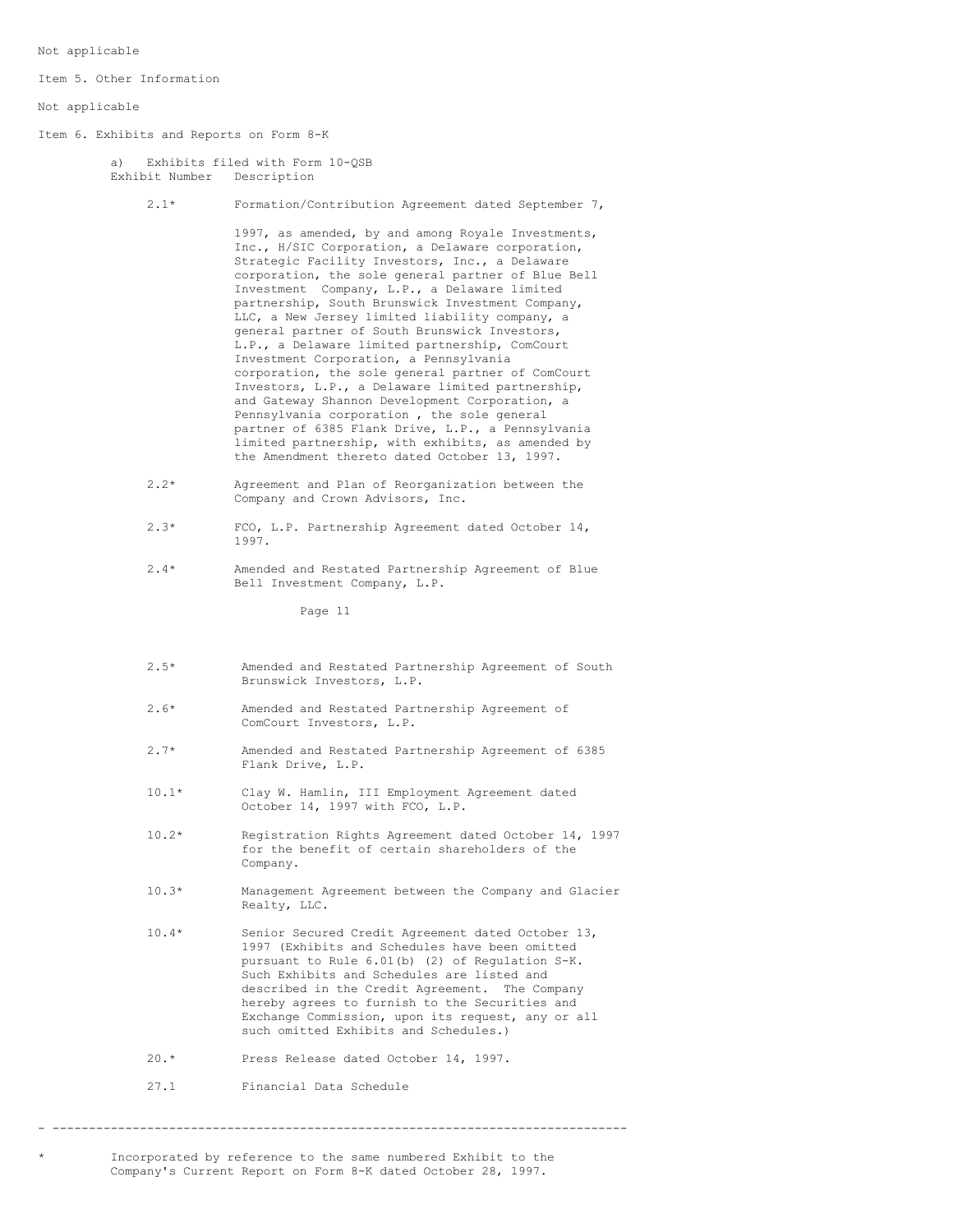Not applicable

Item 5. Other Information

Not applicable

Item 6. Exhibits and Reports on Form 8-K

a) Exhibits filed with Form 10-QSB Exhibit Number Description

2.1\* Formation/Contribution Agreement dated September 7,

1997, as amended, by and among Royale Investments, Inc., H/SIC Corporation, a Delaware corporation, Strategic Facility Investors, Inc., a Delaware corporation, the sole general partner of Blue Bell Investment Company, L.P., a Delaware limited partnership, South Brunswick Investment Company, LLC, a New Jersey limited liability company, a general partner of South Brunswick Investors, L.P., a Delaware limited partnership, ComCourt Investment Corporation, a Pennsylvania corporation, the sole general partner of ComCourt Investors, L.P., a Delaware limited partnership, and Gateway Shannon Development Corporation, a Pennsylvania corporation , the sole general partner of 6385 Flank Drive, L.P., a Pennsylvania limited partnership, with exhibits, as amended by the Amendment thereto dated October 13, 1997.

- 2.2\* Agreement and Plan of Reorganization between the Company and Crown Advisors, Inc.
- 2.3\* FCO, L.P. Partnership Agreement dated October 14, 1997.
- 2.4\* Amended and Restated Partnership Agreement of Blue Bell Investment Company, L.P.

Page 11

- 2.5\* Amended and Restated Partnership Agreement of South Brunswick Investors, L.P.
- 2.6\* Amended and Restated Partnership Agreement of ComCourt Investors, L.P.
- 2.7\* Amended and Restated Partnership Agreement of 6385 Flank Drive, L.P.
- 10.1\* Clay W. Hamlin, III Employment Agreement dated October 14, 1997 with FCO, L.P.
- 10.2\* Registration Rights Agreement dated October 14, 1997 for the benefit of certain shareholders of the Company.
- 10.3\* Management Agreement between the Company and Glacier Realty, LLC.
- 10.4\* Senior Secured Credit Agreement dated October 13, 1997 (Exhibits and Schedules have been omitted pursuant to Rule 6.01(b) (2) of Regulation S-K. Such Exhibits and Schedules are listed and described in the Credit Agreement. The Company hereby agrees to furnish to the Securities and Exchange Commission, upon its request, any or all such omitted Exhibits and Schedules.)
- 20.\* Press Release dated October 14, 1997.
- 27.1 Financial Data Schedule

- -------------------------------------------------------------------------------

Incorporated by reference to the same numbered Exhibit to the Company's Current Report on Form 8-K dated October 28, 1997.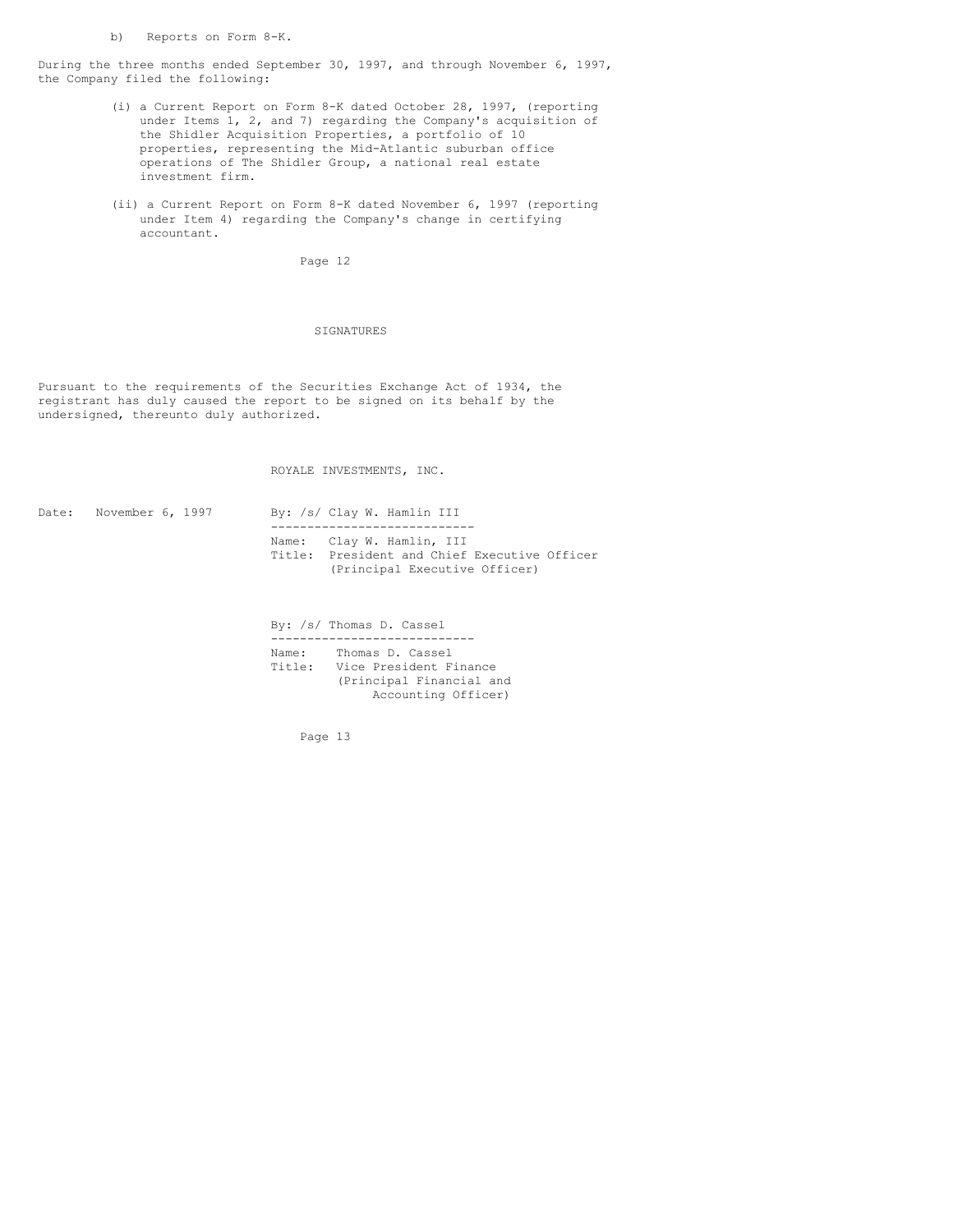b) Reports on Form 8-K.

During the three months ended September 30, 1997, and through November 6, 1997, the Company filed the following:

- (i) a Current Report on Form 8-K dated October 28, 1997, (reporting under Items 1, 2, and 7) regarding the Company's acquisition of the Shidler Acquisition Properties, a portfolio of 10 properties, representing the Mid-Atlantic suburban office operations of The Shidler Group, a national real estate investment firm.
- (ii) a Current Report on Form 8-K dated November 6, 1997 (reporting under Item 4) regarding the Company's change in certifying accountant.

Page 12

## **SIGNATURES**

Pursuant to the requirements of the Securities Exchange Act of 1934, the registrant has duly caused the report to be signed on its behalf by the undersigned, thereunto duly authorized.

ROYALE INVESTMENTS, INC.

Date: November 6, 1997 By: /s/ Clay W. Hamlin III ---------------------------- Name: Clay W. Hamlin, III Title: President and Chief Executive Officer (Principal Executive Officer)

> By: /s/ Thomas D. Cassel ---------------------------- Name: Thomas D. Cassel Title: Vice President Finance (Principal Financial and Accounting Officer)

> > Page 13